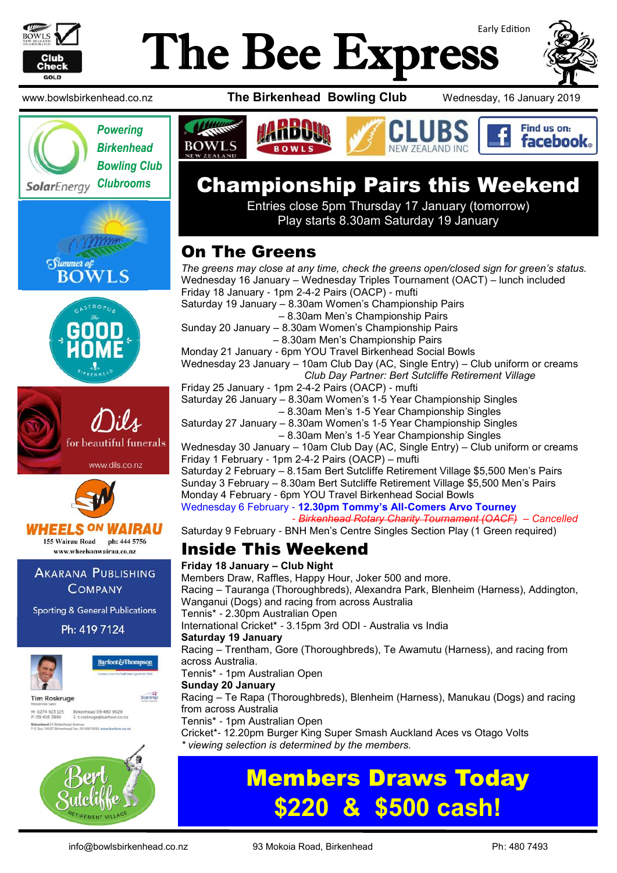

# Early Edition The Bee Express







# Championship Pairs this Weekend

Entries close 5pm Thursday 17 January (tomorrow) Play starts 8.30am Saturday 19 January

# On The Greens

*The greens may close at any time, check the greens open/closed sign for green's status.* Wednesday 16 January – Wednesday Triples Tournament (OACT) – lunch included Friday 18 January - 1pm 2-4-2 Pairs (OACP) - mufti Saturday 19 January – 8.30am Women's Championship Pairs – 8.30am Men's Championship Pairs Sunday 20 January – 8.30am Women's Championship Pairs – 8.30am Men's Championship Pairs Monday 21 January - 6pm YOU Travel Birkenhead Social Bowls Wednesday 23 January – 10am Club Day (AC, Single Entry) – Club uniform or creams *Club Day Partner: Bert Sutcliffe Retirement Village* Friday 25 January - 1pm 2-4-2 Pairs (OACP) - mufti Saturday 26 January – 8.30am Women's 1-5 Year Championship Singles – 8.30am Men's 1-5 Year Championship Singles Saturday 27 January – 8.30am Women's 1-5 Year Championship Singles – 8.30am Men's 1-5 Year Championship Singles Wednesday 30 January – 10am Club Day (AC, Single Entry) – Club uniform or creams Friday 1 February - 1pm 2-4-2 Pairs (OACP) – mufti Saturday 2 February – 8.15am Bert Sutcliffe Retirement Village \$5,500 Men's Pairs Sunday 3 February – 8.30am Bert Sutcliffe Retirement Village \$5,500 Men's Pairs Monday 4 February - 6pm YOU Travel Birkenhead Social Bowls Wednesday 6 February - **12.30pm Tommy's All-Comers Arvo Tourney** - *Birkenhead Rotary Charity Tournament (OACF) – Cancelled* Saturday 9 February - BNH Men's Centre Singles Section Play (1 Green required) Inside This Weekend **Friday 18 January – Club Night**  Members Draw, Raffles, Happy Hour, Joker 500 and more. Racing – Tauranga (Thoroughbreds), Alexandra Park, Blenheim (Harness), Addington, Wanganui (Dogs) and racing from across Australia Tennis\* - 2.30pm Australian Open International Cricket\* - 3.15pm 3rd ODI - Australia vs India **Saturday 19 January**  Racing – Trentham, Gore (Thoroughbreds), Te Awamutu (Harness), and racing from across Australia. Tennis\* - 1pm Australian Open **Sunday 20 January**  Racing – Te Rapa (Thoroughbreds), Blenheim (Harness), Manukau (Dogs) and racing from across Australia Tennis\* - 1pm Australian Open Cricket\*- 12.20pm Burger King Super Smash Auckland Aces vs Otago Volts *viewing selection is determined by the members.* 

# Members Draws Today **\$220 & \$500 cash!**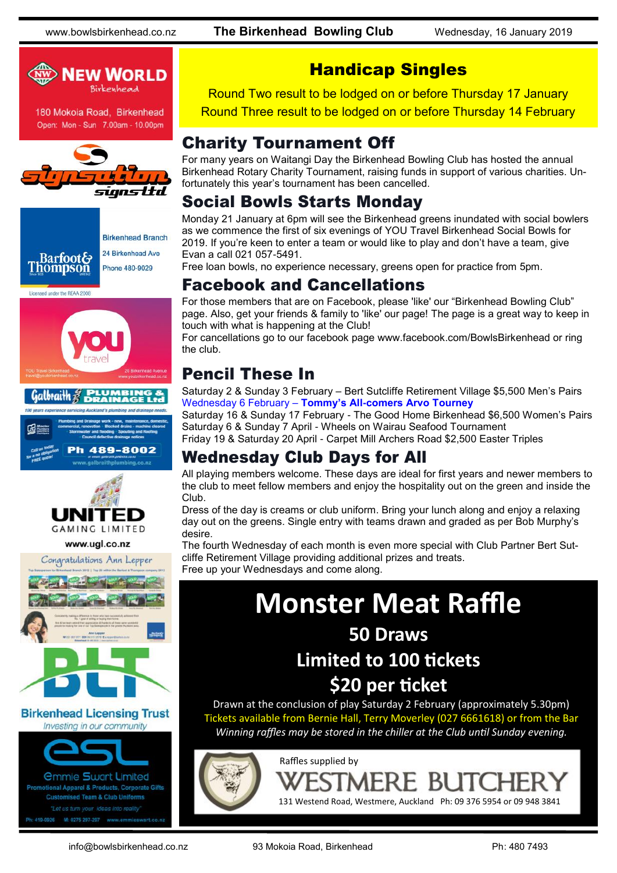www.bowlsbirkenhead.co.nz **The Birkenhead Bowling Club** Wednesday, 16 January 2019



180 Mokoia Road, Birkenhead Open: Mon - Sun 7.00am - 10.00pm













#### **Birkenhead Licensing Trust** Investing in our community



*<u>Ommie Swart Limited</u>* **Promotional Apparel & Products, Corporate Gifts Customised Team & Club Uniforms** 

# Handicap Singles

Round Two result to be lodged on or before Thursday 17 January Round Three result to be lodged on or before Thursday 14 February

### Charity Tournament Off

For many years on Waitangi Day the Birkenhead Bowling Club has hosted the annual Birkenhead Rotary Charity Tournament, raising funds in support of various charities. Unfortunately this year's tournament has been cancelled.

## Social Bowls Starts Monday

Monday 21 January at 6pm will see the Birkenhead greens inundated with social bowlers as we commence the first of six evenings of YOU Travel Birkenhead Social Bowls for 2019. If you're keen to enter a team or would like to play and don't have a team, give Evan a call 021 057-5491.

Free loan bowls, no experience necessary, greens open for practice from 5pm.

#### Facebook and Cancellations

For those members that are on Facebook, please 'like' our "Birkenhead Bowling Club" page. Also, get your friends & family to 'like' our page! The page is a great way to keep in touch with what is happening at the Club!

For cancellations go to our facebook page www.facebook.com/BowlsBirkenhead or ring the club.

# Pencil These In

Saturday 2 & Sunday 3 February – Bert Sutcliffe Retirement Village \$5,500 Men's Pairs Wednesday 6 February – **Tommy's All-comers Arvo Tourney**

Saturday 16 & Sunday 17 February - The Good Home Birkenhead \$6,500 Women's Pairs Saturday 6 & Sunday 7 April - Wheels on Wairau Seafood Tournament Friday 19 & Saturday 20 April - Carpet Mill Archers Road \$2,500 Easter Triples

# Wednesday Club Days for All

All playing members welcome. These days are ideal for first years and newer members to the club to meet fellow members and enjoy the hospitality out on the green and inside the Club.

Dress of the day is creams or club uniform. Bring your lunch along and enjoy a relaxing day out on the greens. Single entry with teams drawn and graded as per Bob Murphy's desire.

The fourth Wednesday of each month is even more special with Club Partner Bert Sutcliffe Retirement Village providing additional prizes and treats. Free up your Wednesdays and come along.

# **Monster Meat Raffle**

# **50 Draws**

# **Limited to 100 tickets**

# **\$20 per ticket**

Drawn at the conclusion of play Saturday 2 February (approximately 5.30pm) Tickets available from Bernie Hall, Terry Moverley (027 6661618) or from the Bar *Winning raffles may be stored in the chiller at the Club until Sunday evening.*

131 Westend Road, Westmere, Auckland Ph: 09 376 5954 or 09 948 3841



info@bowlsbirkenhead.co.nz 93 Mokoia Road, Birkenhead Ph: 480 7493

Raffles supplied by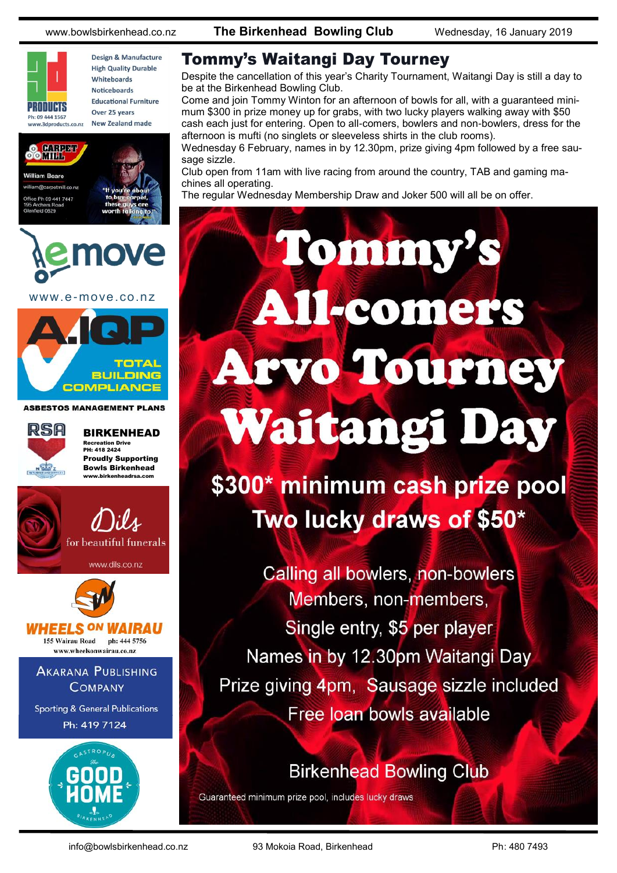www.bowlsbirkenhead.co.nz **The Birkenhead Bowling Club** Wednesday, 16 January 2019









www.e-move.co.nz



**ASBESTOS MANAGEMENT PLANS** 



BIRKENHEAD Recreation Drive PH: 418 2424 Proudly Supporting Bowls Birkenhead www.birkenheadrsa.com



www.dils.co.nz



#### HEELS <sup>ON</sup> WAIRAU 155 Wairau Road ph: 444 5756

www.wheelsonwairau.co.nz

**AKARANA PUBLISHING COMPANY** 

**Sporting & General Publications** Ph: 419 7124



Tommy's Waitangi Day Tourney

Despite the cancellation of this year's Charity Tournament, Waitangi Day is still a day to be at the Birkenhead Bowling Club.

Come and join Tommy Winton for an afternoon of bowls for all, with a guaranteed minimum \$300 in prize money up for grabs, with two lucky players walking away with \$50 cash each just for entering. Open to all-comers, bowlers and non-bowlers, dress for the afternoon is mufti (no singlets or sleeveless shirts in the club rooms).

Wednesday 6 February, names in by 12.30pm, prize giving 4pm followed by a free sausage sizzle.

Tommy's

All-comers

Club open from 11am with live racing from around the country, TAB and gaming machines all operating.

The regular Wednesday Membership Draw and Joker 500 will all be on offer.

# **Arvo Tourney Waitangi Day**

\$300\* minimum cash prize pool Two lucky draws of \$50\*

Calling all bowlers, non-bowlers Members, non-members, Single entry, \$5 per player Names in by 12.30pm Waitangi Day Prize giving 4pm, Sausage sizzle included Free loan bowls available

# **Birkenhead Bowling Club**

Guaranteed minimum prize pool, includes lucky draws

info@bowlsbirkenhead.co.nz 93 Mokoia Road, Birkenhead Ph: 480 7493